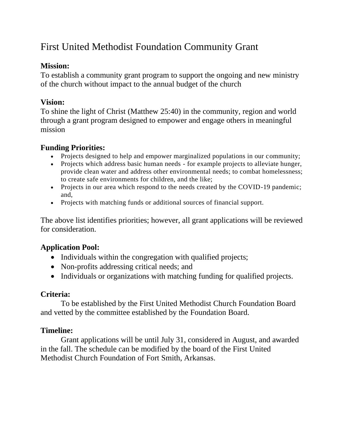# First United Methodist Foundation Community Grant

#### **Mission:**

To establish a community grant program to support the ongoing and new ministry of the church without impact to the annual budget of the church

## **Vision:**

To shine the light of Christ (Matthew 25:40) in the community, region and world through a grant program designed to empower and engage others in meaningful mission

#### **Funding Priorities:**

- Projects designed to help and empower marginalized populations in our community;
- Projects which address basic human needs for example projects to alleviate hunger, provide clean water and address other environmental needs; to combat homelessness; to create safe environments for children, and the like;
- Projects in our area which respond to the needs created by the COVID-19 pandemic; and,
- Projects with matching funds or additional sources of financial support.

The above list identifies priorities; however, all grant applications will be reviewed for consideration.

## **Application Pool:**

- Individuals within the congregation with qualified projects;
- Non-profits addressing critical needs; and
- Individuals or organizations with matching funding for qualified projects.

## **Criteria:**

To be established by the First United Methodist Church Foundation Board and vetted by the committee established by the Foundation Board.

## **Timeline:**

Grant applications will be until July 31, considered in August, and awarded in the fall. The schedule can be modified by the board of the First United Methodist Church Foundation of Fort Smith, Arkansas.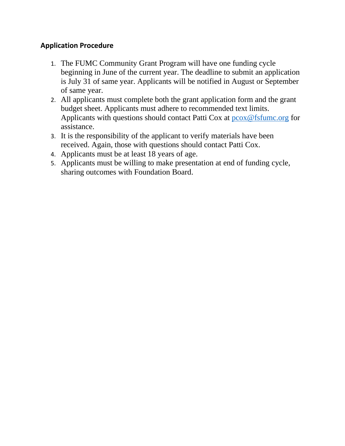#### **Application Procedure**

- 1. The FUMC Community Grant Program will have one funding cycle beginning in June of the current year. The deadline to submit an application is July 31 of same year. Applicants will be notified in August or September of same year.
- 2. All applicants must complete both the grant application form and the grant budget sheet. Applicants must adhere to recommended text limits. Applicants with questions should contact Patti Cox at  $p\cos\omega$  fsfume.org for assistance.
- 3. It is the responsibility of the applicant to verify materials have been received. Again, those with questions should contact Patti Cox.
- 4. Applicants must be at least 18 years of age.
- 5. Applicants must be willing to make presentation at end of funding cycle, sharing outcomes with Foundation Board.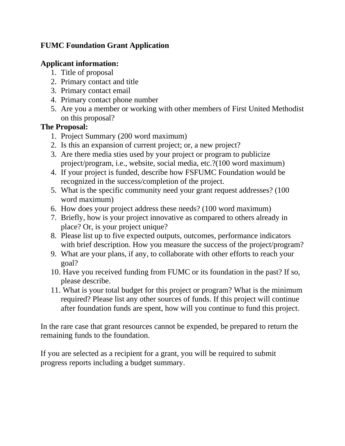# **FUMC Foundation Grant Application**

## **Applicant information:**

- 1. Title of proposal
- 2. Primary contact and title
- 3. Primary contact email
- 4. Primary contact phone number
- 5. Are you a member or working with other members of First United Methodist on this proposal?

## **The Proposal:**

- 1. Project Summary (200 word maximum)
- 2. Is this an expansion of current project; or, a new project?
- 3. Are there media sties used by your project or program to publicize project/program, i.e., website, social media, etc.?(100 word maximum)
- 4. If your project is funded, describe how FSFUMC Foundation would be recognized in the success/completion of the project.
- 5. What is the specific community need your grant request addresses? (100 word maximum)
- 6. How does your project address these needs? (100 word maximum)
- 7. Briefly, how is your project innovative as compared to others already in place? Or, is your project unique?
- 8. Please list up to five expected outputs, outcomes, performance indicators with brief description. How you measure the success of the project/program?
- 9. What are your plans, if any, to collaborate with other efforts to reach your goal?
- 10. Have you received funding from FUMC or its foundation in the past? If so, please describe.
- 11. What is your total budget for this project or program? What is the minimum required? Please list any other sources of funds. If this project will continue after foundation funds are spent, how will you continue to fund this project.

In the rare case that grant resources cannot be expended, be prepared to return the remaining funds to the foundation.

If you are selected as a recipient for a grant, you will be required to submit progress reports including a budget summary.